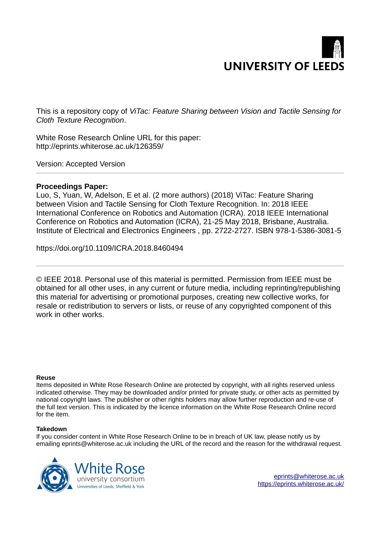# <span id="page-0-0"></span>**UNIVERSITY OF LEED**

This is a repository copy of *ViTac: Feature Sharing between Vision and Tactile Sensing for Cloth Texture Recognition*.

White Rose Research Online URL for this paper: http://eprints.whiterose.ac.uk/126359/

Version: Accepted Version

# **Proceedings Paper:**

Luo, S, Yuan, W, Adelson, E et al. (2 more authors) (2018) ViTac: Feature Sharing between Vision and Tactile Sensing for Cloth Texture Recognition. In: 2018 IEEE International Conference on Robotics and Automation (ICRA). 2018 IEEE International Conference on Robotics and Automation (ICRA), 21-25 May 2018, Brisbane, Australia. Institute of Electrical and Electronics Engineers , pp. 2722-2727. ISBN 978-1-5386-3081-5

https://doi.org/10.1109/ICRA.2018.8460494

© IEEE 2018. Personal use of this material is permitted. Permission from IEEE must be obtained for all other uses, in any current or future media, including reprinting/republishing this material for advertising or promotional purposes, creating new collective works, for resale or redistribution to servers or lists, or reuse of any copyrighted component of this work in other works.

### **Reuse**

Items deposited in White Rose Research Online are protected by copyright, with all rights reserved unless indicated otherwise. They may be downloaded and/or printed for private study, or other acts as permitted by national copyright laws. The publisher or other rights holders may allow further reproduction and re-use of the full text version. This is indicated by the licence information on the White Rose Research Online record for the item.

## **Takedown**

If you consider content in White Rose Research Online to be in breach of UK law, please notify us by emailing eprints@whiterose.ac.uk including the URL of the record and the reason for the withdrawal request.



[eprints@whiterose.ac.uk](mailto:eprints@whiterose.ac.uk) <https://eprints.whiterose.ac.uk/>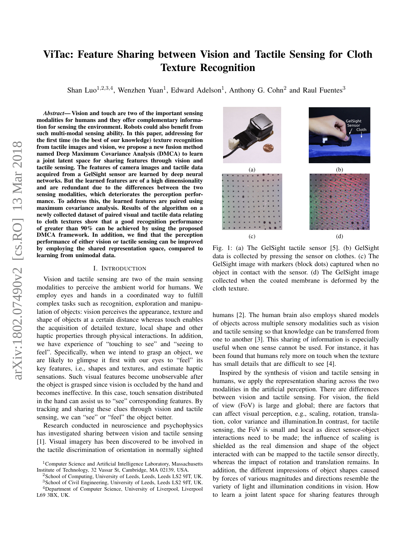# ViTac: Feature Sharing between Vision and Tactile Sensing for Cloth Texture Recognition

Shan Luo<sup>1,2,3,4</sup>, Wenzhen Yuan<sup>1</sup>, Edward Adelson<sup>1</sup>, Anthony G. Cohn<sup>2</sup> and Raul Fuentes<sup>3</sup>

*Abstract*— Vision and touch are two of the important sensing modalities for humans and they offer complementary information for sensing the environment. Robots could also benefit from such multi-modal sensing ability. In this paper, addressing for the first time (to the best of our knowledge) texture recognition from tactile images and vision, we propose a new fusion method named Deep Maximum Covariance Analysis (DMCA) to learn a joint latent space for sharing features through vision and tactile sensing. The features of camera images and tactile data acquired from a GelSight sensor are learned by deep neural networks. But the learned features are of a high dimensionality and are redundant due to the differences between the two sensing modalities, which deteriorates the perception performance. To address this, the learned features are paired using maximum covariance analysis. Results of the algorithm on a newly collected dataset of paired visual and tactile data relating to cloth textures show that a good recognition performance of greater than 90% can be achieved by using the proposed DMCA framework. In addition, we find that the perception performance of either vision or tactile sensing can be improved by employing the shared representation space, compared to learning from unimodal data.

#### I. INTRODUCTION

<span id="page-1-0"></span>Vision and tactile sensing are two of the main sensing modalities to perceive the ambient world for humans. We employ eyes and hands in a coordinated way to fulfill complex tasks such as recognition, exploration and manipulation of objects: vision perceives the appearance, texture and shape of objects at a certain distance whereas touch enables the acquisition of detailed texture, local shape and other haptic properties through physical interactions. In addition, we have experience of "touching to see" and "seeing to feel". Specifically, when we intend to grasp an object, we are likely to glimpse it first with our eyes to "feel" its key features, i.e., shapes and textures, and estimate haptic sensations. Such visual features become unobservable after the object is grasped since vision is occluded by the hand and becomes ineffective. In this case, touch sensation distributed in the hand can assist us to "see" corresponding features. By tracking and sharing these clues through vision and tactile sensing, we can "see" or "feel" the object better.

Research conducted in neuroscience and psychophysics has investigated sharing between vision and tactile sensing [1]. Visual imagery has been discovered to be involved in the tactile discrimination of orientation in normally sighted

<sup>3</sup>School of Civil Engineering, University of Leeds, Leeds LS2 9JT, UK.



Fig. 1: (a) The GelSight tactile sensor [5]. (b) GelSight data is collected by pressing the sensor on clothes. (c) The GelSight image with markers (block dots) captured when no object in contact with the sensor. (d) The GelSight image collected when the coated membrane is deformed by the cloth texture.

<span id="page-1-1"></span>humans [2]. The human brain also employs shared models of objects across multiple sensory modalities such as vision and tactile sensing so that knowledge can be transferred from one to another [3]. This sharing of information is especially useful when one sense cannot be used. For instance, it has been found that humans rely more on touch when the texture has small details that are difficult to see [4].

Inspired by the synthesis of vision and tactile sensing in humans, we apply the representation sharing across the two modalities in the artificial perception. There are differences between vision and tactile sensing. For vision, the field of view (FoV) is large and global; there are factors that can affect visual perception, e.g., scaling, rotation, translation, color variance and illumination.In contrast, for tactile sensing, the FoV is small and local as direct sensor-object interactions need to be made; the influence of scaling is shielded as the real dimension and shape of the object interacted with can be mapped to the tactile sensor directly, whereas the impact of rotation and translation remains. In addition, the different impressions of object shapes caused by forces of various magnitudes and directions resemble the variety of light and illumination conditions in vision. How to learn a joint latent space for sharing features through

<sup>&</sup>lt;sup>1</sup>Computer Science and Artificial Intelligence Laboratory, Massachusetts Institute of Technology, 32 Vassar St, Cambridge, MA 02139, USA.

<sup>&</sup>lt;sup>2</sup>School of Computing, University of Leeds, Leeds, Leeds LS2 9JT, UK.

<sup>4</sup>Department of Computer Science, University of Liverpool, Liverpool L69 3BX, UK.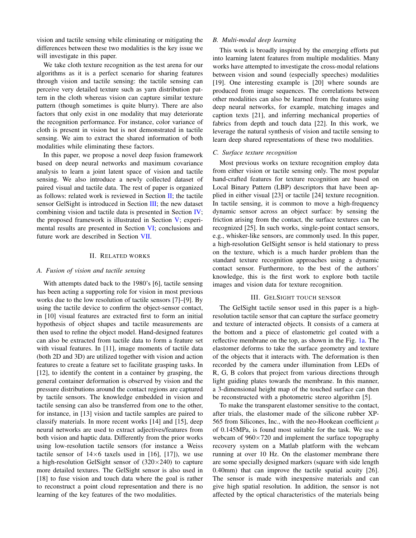vision and tactile sensing while eliminating or mitigating the differences between these two modalities is the key issue we will investigate in this paper.

<span id="page-2-0"></span>We take cloth texture recognition as the test arena for our algorithms as it is a perfect scenario for sharing features through vision and tactile sensing: the tactile sensing can perceive very detailed texture such as yarn distribution pattern in the cloth whereas vision can capture similar texture pattern (though sometimes is quite blurry). There are also factors that only exist in one modality that may deteriorate the recognition performance. For instance, color variance of cloth is present in vision but is not demonstrated in tactile sensing. We aim to extract the shared information of both modalities while eliminating these factors.

In this paper, we propose a novel deep fusion framework based on deep neural networks and maximum covariance analysis to learn a joint latent space of vision and tactile sensing. We also introduce a newly collected dataset of paired visual and tactile data. The rest of paper is organized as follows: related work is reviewed in Section  $II$ ; the tactile sensor GelSight is introduced in Section [III;](#page-1-1) the new dataset combining vision and tactile data is presented in Section [IV;](#page-2-0) the proposed framework is illustrated in Section [V;](#page-2-1) experimental results are presented in Section [VI;](#page-3-0) conclusions and future work are described in Section [VII.](#page-5-0)

#### II. RELATED WORKS

#### *A. Fusion of vision and tactile sensing*

<span id="page-2-1"></span>With attempts dated back to the 1980's [6], tactile sensing has been acting a supporting role for vision in most previous works due to the low resolution of tactile sensors [7]–[9]. By using the tactile device to confirm the object-sensor contact, in [10] visual features are extracted first to form an initial hypothesis of object shapes and tactile measurements are then used to refine the object model. Hand-designed features can also be extracted from tactile data to form a feature set with visual features. In [11], image moments of tactile data (both 2D and 3D) are utilized together with vision and action features to create a feature set to facilitate grasping tasks. In [12], to identify the content in a container by grasping, the general container deformation is observed by vision and the pressure distributions around the contact regions are captured by tactile sensors. The knowledge embedded in vision and tactile sensing can also be transferred from one to the other, for instance, in [13] vision and tactile samples are paired to classify materials. In more recent works [14] and [15], deep neural networks are used to extract adjectives/features from both vision and haptic data. Differently from the prior works using low-resolution tactile sensors (for instance a Weiss tactile sensor of  $14\times6$  taxels used in [16], [17]), we use a high-resolution GelSight sensor of  $(320 \times 240)$  to capture more detailed textures. The GelSight sensor is also used in [18] to fuse vision and touch data where the goal is rather to reconstruct a point cloud representation and there is no learning of the key features of the two modalities.

#### *B. Multi-modal deep learning*

This work is broadly inspired by the emerging efforts put into learning latent features from multiple modalities. Many works have attempted to investigate the cross-modal relations between vision and sound (especially speeches) modalities [19]. One interesting example is [20] where sounds are produced from image sequences. The correlations between other modalities can also be learned from the features using deep neural networks, for example, matching images and caption texts [21], and inferring mechanical properties of fabrics from depth and touch data [22]. In this work, we leverage the natural synthesis of vision and tactile sensing to learn deep shared representations of these two modalities.

#### *C. Surface texture recognition*

Most previous works on texture recognition employ data from either vision or tactile sensing only. The most popular hand-crafted features for texture recognition are based on Local Binary Pattern (LBP) descriptors that have been applied in either visual [23] or tactile [24] texture recognition. In tactile sensing, it is common to move a high-frequency dynamic sensor across an object surface: by sensing the friction arising from the contact, the surface textures can be recognized [25]. In such works, single-point contact sensors, e.g., whisker-like sensors, are commonly used. In this paper, a high-resolution GelSight sensor is held stationary to press on the texture, which is a much harder problem than the standard texture recognition approaches using a dynamic contact sensor. Furthermore, to the best of the authors' knowledge, this is the first work to explore both tactile images and vision data for texture recognition.

#### III. GELSIGHT TOUCH SENSOR

<span id="page-2-2"></span>The GelSight tactile sensor used in this paper is a highresolution tactile sensor that can capture the surface geometry and texture of interacted objects. It consists of a camera at the bottom and a piece of elastometric gel coated with a reflective membrane on the top, as shown in the Fig. [1a.](#page-0-0) The elastomer deforms to take the surface geometry and texture of the objects that it interacts with. The deformation is then recorded by the camera under illumination from LEDs of R, G, B colors that project from various directions through light guiding plates towards the membrane. In this manner, a 3-dimensional height map of the touched surface can then be reconstructed with a photometric stereo algorithm [5].

<span id="page-2-3"></span>To make the transparent elastomer sensitive to the contact, after trials, the elastomer made of the silicone rubber XP-565 from Silicones, Inc., with the neo-Hookean coefficient  $\mu$ of 0.145MPa, is found most suitable for the task. We use a webcam of  $960 \times 720$  and implement the surface topography recovery system on a Matlab platform with the webcam running at over 10 Hz. On the elastomer membrane there are some specially designed markers (square with side length 0.40mm) that can improve the tactile spatial acuity [26]. The sensor is made with inexpensive materials and can give high spatial resolution. In addition, the sensor is not affected by the optical characteristics of the materials being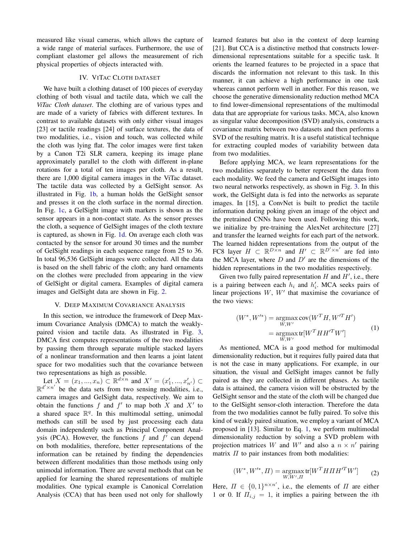<span id="page-3-1"></span>measured like visual cameras, which allows the capture of a wide range of material surfaces. Furthermore, the use of compliant elastomer gel allows the measurement of rich physical properties of objects interacted with.

#### IV. VITAC CLOTH DATASET

<span id="page-3-2"></span>We have built a clothing dataset of 100 pieces of everyday clothing of both visual and tactile data, which we call the *ViTac Cloth dataset*. The clothing are of various types and are made of a variety of fabrics with different textures. In contrast to available datasets with only either visual images [23] or tactile readings [24] of surface textures, the data of two modalities, i.e., vision and touch, was collected while the cloth was lying flat. The color images were first taken by a Canon T2i SLR camera, keeping its image plane approximately parallel to the cloth with different in-plane rotations for a total of ten images per cloth. As a result, there are 1,000 digital camera images in the ViTac dataset. The tactile data was collected by a GelSight sensor. As illustrated in Fig. [1b,](#page-0-0) a human holds the GelSight sensor and presses it on the cloth surface in the normal direction. In Fig. [1c,](#page-0-0) a GelSight image with markers is shown as the sensor appears in a non-contact state. As the sensor presses the cloth, a sequence of GelSight images of the cloth texture is captured, as shown in Fig. [1d.](#page-0-0) On average each cloth was contacted by the sensor for around 30 times and the number of GelSight readings in each sequence range from 25 to 36. In total 96,536 GelSight images were collected. All the data is based on the shell fabric of the cloth; any hard ornaments on the clothes were precluded from appearing in the view of GelSight or digital camera. Examples of digital camera images and GelSight data are shown in Fig. [2.](#page-3-1)

#### V. DEEP MAXIMUM COVARIANCE ANALYSIS

In this section, we introduce the framework of Deep Maximum Covariance Analysis (DMCA) to match the weaklypaired vision and tactile data. As illustrated in Fig. [3,](#page-3-2) DMCA first computes representations of the two modalities by passing them through separate multiple stacked layers of a nonlinear transformation and then learns a joint latent space for two modalities such that the covariance between two representations as high as possible.

<span id="page-3-3"></span>Let  $X = (x_1, ..., x_n) \subset \mathbb{R}^{d \times n}$  and  $X' = (x'_1, ..., x'_{n'}) \subset$  $\mathbb{R}^{d' \times n'}$  be the data sets from two sensing modalities, i.e., camera images and GelSight data, respectively. We aim to obtain the functions  $f$  and  $f'$  to map both  $\overline{X}$  and  $\overline{X}'$  to a shared space  $\mathbb{R}^q$ . In this multimodal setting, unimodal methods can still be used by just processing each data domain independently such as Principal Component Analysis (PCA). However, the functions  $\overrightarrow{f}$  and  $\overrightarrow{f}'$  can depend on both modalities, therefore, better representations of the information can be retained by finding the dependencies between different modalities than those methods using only unimodal information. There are several methods that can be applied for learning the shared representations of multiple modalities. One typical example is Canonical Correlation Analysis (CCA) that has been used not only for shallowly

learned features but also in the context of deep learning [21]. But CCA is a distinctive method that constructs lowerdimensional representations suitable for a specific task. It orients the learned features to be projected in a space that discards the information not relevant to this task. In this manner, it can achieve a high performance in one task whereas cannot perform well in another. For this reason, we choose the generative dimensionality reduction method MCA to find lower-dimensional representations of the multimodal data that are appropriate for various tasks. MCA, also known as singular value decomposition (SVD) analysis, constructs a covariance matrix between two datasets and then performs a SVD of the resulting matrix. It is a useful statistical technique for extracting coupled modes of variability between data from two modalities.

Before applying MCA, we learn representations for the two modalities separately to better represent the data from each modality. We feed the camera and GelSight images into two neural networks respectively, as shown in Fig. [3.](#page-3-2) In this work, the GelSight data is fed into the networks as separate images. In [15], a ConvNet is built to predict the tactile information during poking given an image of the object and the pretrained CNNs have been used. Following this work, we initialize by pre-training the AlexNet architecture [27] and transfer the learned weights for each part of the network. The learned hidden representations from the output of the FC8 layer  $H \subset \mathbb{R}^{D \times n}$  and  $H' \subset \mathbb{R}^{D' \times n'}$  are fed into the MCA layer, where  $D$  and  $D'$  are the dimensions of the hidden representations in the two modalities respectively.

<span id="page-3-0"></span>Given two fully paired representation  $H$  and  $H'$ , i.e., there is a pairing between each  $h_i$  and  $h'_i$ . MCA seeks pairs of linear projections  $W$ ,  $W'$  that maximise the covariance of the two views:

$$
(W^*, W'^*) = \underset{W,W'}{\operatorname{argmax}} \operatorname{cov}(W^T H, W'^T H')
$$
  
= 
$$
\underset{W,W'}{\operatorname{argmax}} \operatorname{tr}[W^T H H'^T W']
$$
 (1)

As mentioned, MCA is a good method for multimodal dimensionality reduction, but it requires fully paired data that is not the case in many applications. For example, in our situation, the visual and GelSight images cannot be fully paired as they are collected in different phases. As tactile data is attained, the camera vision will be obstructed by the GelSight sensor and the state of the cloth will be changed due to the GelSight sensor-cloth interaction. Therefore the data from the two modalities cannot be fully paired. To solve this kind of weakly paired situation, we employ a variant of MCA proposed in [13]. Similar to Eq. [1,](#page-2-2) we perform multimodal dimensionality reduction by solving a SVD problem with projection matrices W and W' and also a  $n \times n'$  pairing matrix  $\Pi$  to pair instances from both modalities:

$$
(W^*, W'^*, \Pi) = \underset{W, W', \Pi}{\text{argmax}} \, \text{tr}[W^T H \Pi H'^T W'] \qquad (2)
$$

<span id="page-3-4"></span>Here,  $\Pi \in \{0,1\}^{n \times n'}$ , i.e., the elements of  $\Pi$  are either 1 or 0. If  $\Pi_{i,j} = 1$ , it implies a pairing between the *i*th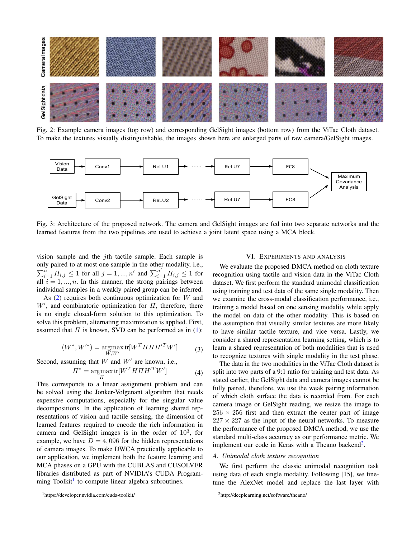<span id="page-4-1"></span><span id="page-4-0"></span>

Fig. 2: Example camera images (top row) and corresponding GelSight images (bottom row) from the ViTac Cloth dataset. To make the textures visually distinguishable, the images shown here are enlarged parts of raw camera/GelSight images.



Fig. 3: Architecture of the proposed network. The camera and GelSight images are fed into two separate networks and the learned features from the two pipelines are used to achieve a joint latent space using a MCA block.

vision sample and the jth tactile sample. Each sample is only paired to at most one sample in the other modality, i.e.,  $\sum_{i=1}^{n} \prod_{i,j} \le 1$  for all  $j = 1, ..., n'$  and  $\sum_{i=1}^{n'} \prod_{i,j} \le 1$  for all  $i = 1, ..., n$ . In this manner, the strong pairings between individual samples in a weakly paired group can be inferred.

As [\(2\)](#page-2-3) requires both continuous optimization for W and  $W'$ , and combinatoric optimization for  $\Pi$ , therefore, there is no single closed-form solution to this optimization. To solve this problem, alternating maximization is applied. First, assumed that  $\Pi$  is known, SVD can be performed as in [\(1\)](#page-2-2):

$$
(W^*, W'^*) = \underset{W, W'}{\text{argmax}} \, \text{tr}[W^T H \Pi H'^T W'] \tag{3}
$$

Second, assuming that  $W$  and  $W'$  are known, i.e.,

$$
\Pi^* = \underset{\Pi}{\operatorname{argmax}} \operatorname{tr}[W^T H \Pi H'^T W'] \tag{4}
$$

This corresponds to a linear assignment problem and can be solved using the Jonker-Volgenant algorithm that needs expensive computations, especially for the singular value decompositions. In the application of learning shared representations of vision and tactile sensing, the dimension of learned features required to encode the rich information in camera and GelSight images is in the order of  $10^3$ , for example, we have  $D = 4,096$  for the hidden representations of camera images. To make DWCA practically applicable to our application, we implement both the feature learning and MCA phases on a GPU with the CUBLAS and CUSOLVER libraries distributed as part of NVIDIA's CUDA Program-ming Toolkit<sup>[1](#page-3-3)</sup> to compute linear algebra subroutines.

#### VI. EXPERIMENTS AND ANALYSIS

We evaluate the proposed DMCA method on cloth texture recognition using tactile and vision data in the ViTac Cloth dataset. We first perform the standard unimodal classification using training and test data of the same single modality. Then we examine the cross-modal classification performance, i.e., training a model based on one sensing modality while apply the model on data of the other modality. This is based on the assumption that visually similar textures are more likely to have similar tactile texture, and vice versa. Lastly, we consider a shared representation learning setting, which is to learn a shared representation of both modalities that is used to recognize textures with single modality in the test phase.

The data in the two modalities in the ViTac Cloth dataset is split into two parts of a 9:1 ratio for training and test data. As stated earlier, the GelSight data and camera images cannot be fully paired, therefore, we use the weak pairing information of which cloth surface the data is recorded from. For each camera image or GelSight reading, we resize the image to  $256 \times 256$  first and then extract the center part of image  $227 \times 227$  as the input of the neural networks. To measure the performance of the proposed DMCA method, we use the standard multi-class accuracy as our performance metric. We implement our code in Keras with a Theano backend<sup>[2](#page-3-4)</sup>.

#### *A. Unimodal cloth texture recognition*

We first perform the classic unimodal recognition task using data of each single modality. Following [15], we finetune the AlexNet model and replace the last layer with

<sup>1</sup>https://developer.nvidia.com/cuda-toolkit/

<sup>2</sup>http://deeplearning.net/software/theano/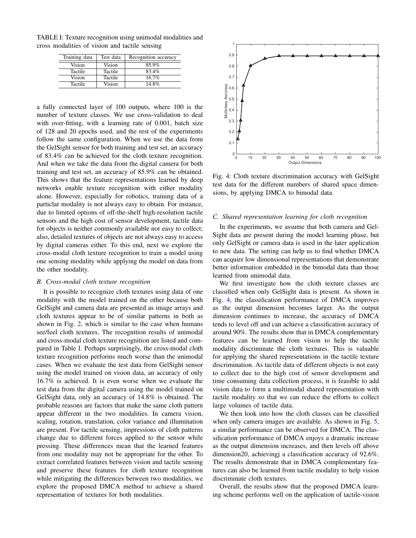<span id="page-5-1"></span>TABLE I: Texture recognition using unimodal modalities and cross modalities of vision and tactile sensing

| Training data | Test data | Recognition accuracy |
|---------------|-----------|----------------------|
| Vision        | Vision    | 85.9%                |
| Tactile       | Tactile   | 83.4%                |
| Vision        | Tactile   | 16.7%                |
| Tactile       | Vision    | 14.8%                |

a fully connected layer of 100 outputs, where 100 is the number of texture classes. We use cross-validation to deal with over-fitting, with a learning rate of 0.001, batch size of 128 and 20 epochs used, and the rest of the experiments follow the same configuration. When we use the data from the GelSight sensor for both training and test set, an accuracy of 83.4% can be achieved for the cloth texture recognition. And when we take the data from the digital camera for both training and test set, an accuracy of 85.9% can be obtained. This shows that the feature representations learned by deep networks enable texture recognition with either modality alone. However, especially for robotics, training data of a particlar modality is not always easy to obtain. For instance, due to limited options of off-the-shelf high-resolution tactile sensors and the high cost of sensor development, tactile data for objects is neither commonly available nor easy to collect; also, detailed textures of objects are not always easy to access by digital cameras either. To this end, next we explore the cross-modal cloth texture recognition to train a model using one sensing modality while applying the model on data from the other modality.

#### <span id="page-5-0"></span>*B. Cross-modal cloth texture recognition*

It is possible to recognize cloth textures using data of one modality with the model trained on the other because both GelSight and camera data are presented as image arrays and cloth textures appear to be of similar patterns in both as shown in Fig. [2,](#page-3-1) which is similar to the case when humans see/feel cloth textures. The recognition results of unimodal and cross-modal cloth texture recognition are listed and compared in Table [I.](#page-4-0) Perhaps surprisingly, the cross-modal cloth texture recognition performs much worse than the unimodal cases. When we evaluate the test data from GelSight sensor using the model trained on vision data, an accuracy of only 16.7% is achieved. It is even worse when we evaluate the test data from the digital camera using the model trained on GelSight data, only an accuracy of 14.8% is obtained. The probable reasons are factors that make the same cloth pattern appear different in the two modalities. In camera vision, scaling, rotation, translation, color variance and illumination are present. For tactile sensing, impressions of cloth patterns change due to different forces applied to the sensor while pressing. These differences mean that the learned features from one modality may not be appropriate for the other. To extract correlated features between vision and tactile sensing and preserve these features for cloth texture recognition while mitigating the differences between two modalities, we explore the proposed DMCA method to achieve a shared representation of textures for both modalities.



Fig. 4: Cloth texture discrimination accuracy with GelSight test data for the different numbers of shared space dimensions, by applying DMCA to bimodal data.

#### *C. Shared representation learning for cloth recognition*

In the experiments, we assume that both camera and Gel-Sight data are present during the model learning phase, but only GelSight or camera data is used in the later application to new data. The setting can help us to find whether DMCA can acquire low dimensional representations that demonstrate better information embedded in the bimodal data than those learned from unimodal data.

We first investigate how the cloth texture classes are classified when only GelSight data is present. As shown in Fig. [4,](#page-4-1) the classification performance of DMCA improves as the output dimension becomes larger. As the output dimension continues to increase, the accuracy of DMCA tends to level off and can achieve a classification accuracy of around 90%. The results show that in DMCA complementary features can be learned from vision to help the tactile modality discriminate the cloth textures. This is valuable for applying the shared representations in the tactile texture discrimination. As tactile data of different objects is not easy to collect due to the high cost of sensor development and time consuming data collection process, it is feasible to add vision data to form a multimodal shared representation with tactile modality so that we can reduce the efforts to collect large volumes of tactile data.

We then look into how the cloth classes can be classified when only camera images are available. As shown in Fig. [5,](#page-5-1) a similar performance can be observed for DMCA. The classification performance of DMCA enjoys a dramatic increase as the output dimension increases, and then levels off above dimension20, achievingj a classification accuracy of 92.6%. The results demonstrate that in DMCA complementary features can also be learned from tactile modality to help vision discriminate cloth textures.

Overall, the results show that the proposed DMCA learning scheme performs well on the application of tactile-vision